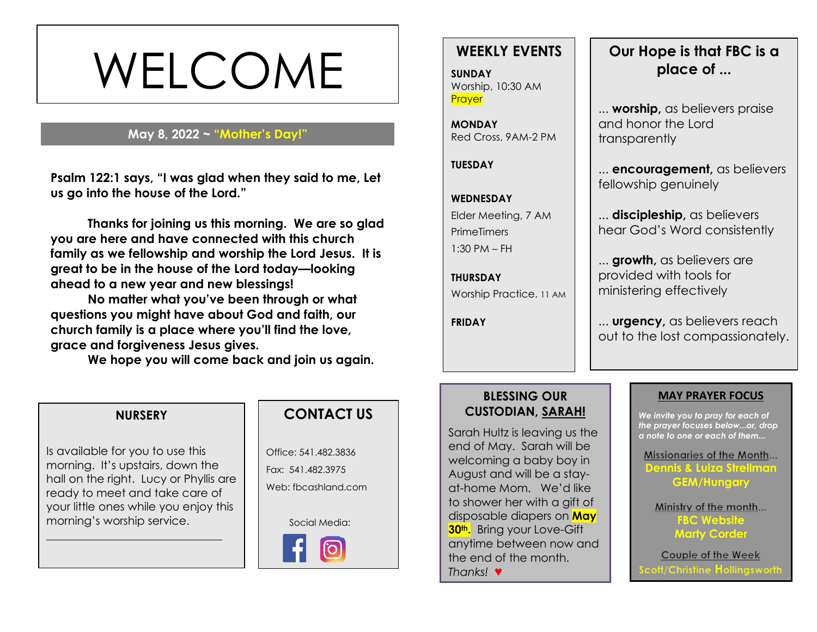# WELCOME

#### **May 8, 2022 ~ "Mother's Day!"**

**s Psalm 122:1 says, "I was glad when they said to me, Let us go into the house of the Lord."**

**Thanks for joining us this morning. We are so glad you are here and have connected with this church family as we fellowship and worship the Lord Jesus. It is great to be in the house of the Lord today—looking ahead to a new year and new blessings!** 

**No matter what you've been through or what questions you might have about God and faith, our church family is a place where you'll find the love, grace and forgiveness Jesus gives.**

**We hope you will come back and join us again.**

### **WEEKLY EVENTS**

**SUNDAY** Worship, 10:30 AM **Prayer** 

**MONDAY** Red Cross, 9AM-2 PM

**TUESDAY**

#### **WEDNESDAY**

Elder Meeting, 7 AM **PrimeTimers** 1:30 PM – FH

**THURSDAY** Worship Practice. 11 AM

**FRIDAY**

## **Our Hope is that FBC is a place of ...**

... **worship,** as believers praise and honor the Lord transparently

... **encouragement,** as believers fellowship genuinely

... **discipleship,** as believers hear God's Word consistently

... **growth,** as believers are provided with tools for ministering effectively

... **urgency,** as believers reach out to the lost compassionately.

#### **BLESSING OUR CUSTODIAN, SARAH!**

Sarah Hultz is leaving us the end of May. Sarah will be welcoming a baby boy in August and will be a stayat-home Mom. We'd like to shower her with a gift of disposable diapers on **May 30th.** Bring your Love-Gift anytime between now and the end of the month. *Thanks!* ♥

#### **MAY PRAYER FOCUS**

*We invite you to pray for each of the prayer focuses below...or, drop a note to one or each of them...*

Missionaries of the Month... **Dennis & Luiza Strellman GEM/Hungary**

Ministry of the month... **FBC Website Marty Corder**

Couple of the Week cott/Christine Hollingswortl

#### **NURSERY**

Is available for you to use this morning. It's upstairs, down the hall on the right. Lucy or Phyllis are ready to meet and take care of your little ones while you enjoy this morning's worship service.

\_\_\_\_\_\_\_\_\_\_\_\_\_\_\_\_\_\_\_\_\_\_\_\_\_\_\_\_\_\_\_



Office: 541.482.3836 Fax: 541.482.3975 Web: fbcashland.com

Social Media: